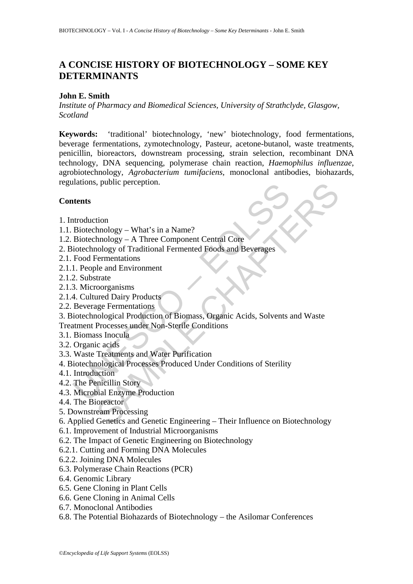# **A CONCISE HISTORY OF BIOTECHNOLOGY – SOME KEY DETERMINANTS**

### **John E. Smith**

*Institute of Pharmacy and Biomedical Sciences, University of Strathclyde, Glasgow, Scotland* 

**Keywords:** 'traditional' biotechnology, 'new' biotechnology, food fermentations, beverage fermentations, zymotechnology, Pasteur, acetone-butanol, waste treatments, penicillin, bioreactors, downstream processing, strain selection, recombinant DNA technology, DNA sequencing, polymerase chain reaction, *Haemophilus influenzae*, agrobiotechnology, *Agrobacterium tumifaciens*, monoclonal antibodies, biohazards, regulations, public perception.

# **Contents**

- 1. Introduction
- 1.1. Biotechnology What's in a Name?
- 1.2. Biotechnology A Three Component Central Core
- 2. Biotechnology of Traditional Fermented Foods and Beverages
- 2.1. Food Fermentations
- 2.1.1. People and Environment
- 2.1.2. Substrate
- 2.1.3. Microorganisms
- 2.1.4. Cultured Dairy Products
- 2.2. Beverage Fermentations
- Mations, public perception.<br>
Itents<br>
Introduction<br>
Biotechnology Mhat's in a Name?<br>
Biotechnology A Three Component Central Core<br>
iotechnology of Traditional Fermented Foods and Beverages<br>
Food Fermentations<br>
1. People Frame Processing<br>
Sharehology – What's in a Name?<br>
Inology – A Three Component Central Core<br>
incredibly of Traditional Fermented Foods and Beverages<br>
Frementations<br>
Ide and Environment<br>
Use and Environment<br>
Ideal Environme 3. Biotechnological Production of Biomass, Organic Acids, Solvents and Waste Treatment Processes under Non-Sterile Conditions
- 3.1. Biomass Inocula
- 3.2. Organic acids
- 3.3. Waste Treatments and Water Purification
- 4. Biotechnological Processes Produced Under Conditions of Sterility
- 4.1. Introduction
- 4.2. The Penicillin Story
- 4.3. Microbial Enzyme Production
- 4.4. The Bioreactor
- 5. Downstream Processing
- 6. Applied Genetics and Genetic Engineering Their Influence on Biotechnology
- 6.1. Improvement of Industrial Microorganisms
- 6.2. The Impact of Genetic Engineering on Biotechnology
- 6.2.1. Cutting and Forming DNA Molecules
- 6.2.2. Joining DNA Molecules
- 6.3. Polymerase Chain Reactions (PCR)
- 6.4. Genomic Library
- 6.5. Gene Cloning in Plant Cells
- 6.6. Gene Cloning in Animal Cells
- 6.7. Monoclonal Antibodies
- 6.8. The Potential Biohazards of Biotechnology the Asilomar Conferences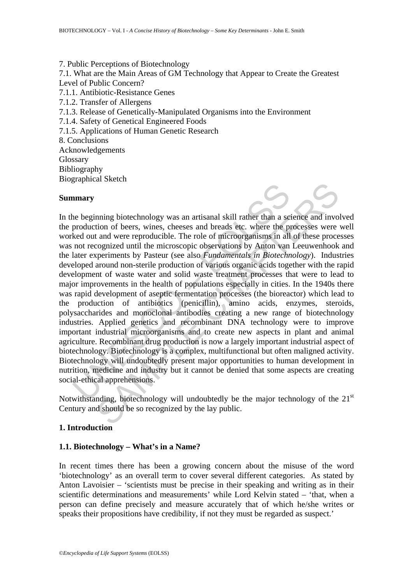7. Public Perceptions of Biotechnology 7.1. What are the Main Areas of GM Technology that Appear to Create the Greatest Level of Public Concern? 7.1.1. Antibiotic-Resistance Genes 7.1.2. Transfer of Allergens 7.1.3. Release of Genetically-Manipulated Organisms into the Environment 7.1.4. Safety of Genetical Engineered Foods 7.1.5. Applications of Human Genetic Research 8. Conclusions Acknowledgements **Glossary** Bibliography Biographical Sketch

#### **Summary**



In any<br>
in a beginning biotechnology was an artisanal skill rather than a se<br>
production of beers, wines, cheeses and breads etc. where the pr<br>
hed out and were reproducible. The role of microorganisms in all<br>
not recogniz maintain biotechnology was an artisanal skill rather than a science and invotion of beers, wines, cheeses and breads etc. where the processes were tand were reproducible. The role of microorganisms in all of these processi In the beginning biotechnology was an artisanal skill rather than a science and involved the production of beers, wines, cheeses and breads etc. where the processes were well worked out and were reproducible. The role of microorganisms in all of these processes was not recognized until the microscopic observations by Anton van Leeuwenhook and the later experiments by Pasteur (see also *Fundamentals in Biotechnology*). Industries developed around non-sterile production of various organic acids together with the rapid development of waste water and solid waste treatment processes that were to lead to major improvements in the health of populations especially in cities. In the 1940s there was rapid development of aseptic fermentation processes (the bioreactor) which lead to the production of antibiotics (penicillin), amino acids, enzymes, steroids, polysaccharides and monoclonal antibodies creating a new range of biotechnology industries. Applied genetics and recombinant DNA technology were to improve important industrial microorganisms and to create new aspects in plant and animal agriculture. Recombinant drug production is now a largely important industrial aspect of biotechnology. Biotechnology is a complex, multifunctional but often maligned activity. Biotechnology will undoubtedly present major opportunities to human development in nutrition, medicine and industry but it cannot be denied that some aspects are creating social-ethical apprehensions.

Notwithstanding, biotechnology will undoubtedly be the major technology of the  $21<sup>st</sup>$ Century and should be so recognized by the lay public.

### **1. Introduction**

### **1.1. Biotechnology – What's in a Name?**

In recent times there has been a growing concern about the misuse of the word 'biotechnology' as an overall term to cover several different categories. As stated by Anton Lavoisier – 'scientists must be precise in their speaking and writing as in their scientific determinations and measurements' while Lord Kelvin stated – 'that, when a person can define precisely and measure accurately that of which he/she writes or speaks their propositions have credibility, if not they must be regarded as suspect.'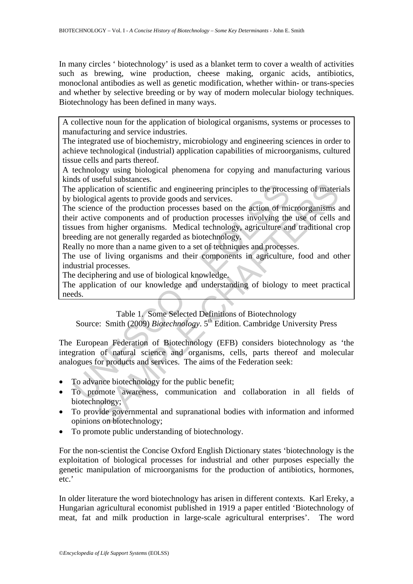In many circles ' biotechnology' is used as a blanket term to cover a wealth of activities such as brewing, wine production, cheese making, organic acids, antibiotics, monoclonal antibodies as well as genetic modification, whether within- or trans-species and whether by selective breeding or by way of modern molecular biology techniques. Biotechnology has been defined in many ways.

A collective noun for the application of biological organisms, systems or processes to manufacturing and service industries.

The integrated use of biochemistry, microbiology and engineering sciences in order to achieve technological (industrial) application capabilities of microorganisms, cultured tissue cells and parts thereof.

A technology using biological phenomena for copying and manufacturing various kinds of useful substances.

The application of scientific and engineering principles to the processing of materials by biological agents to provide goods and services.

is explication of scientific and engineering principles to the proce<br>biological agents to provide goods and services.<br>e science of the production processes based on the action of mi<br>ir active components and of production p Social decondition of scientific and engineering principles to the processing of materical agents to provide goods and services.<br>
ee of the production processes based on the action of microorganisms to<br>
ee components and o The science of the production processes based on the action of microorganisms and their active components and of production processes involving the use of cells and tissues from higher organisms. Medical technology, agriculture and traditional crop breeding are not generally regarded as biotechnology.

Really no more than a name given to a set of techniques and processes.

The use of living organisms and their components in agriculture, food and other industrial processes.

The deciphering and use of biological knowledge.

The application of our knowledge and understanding of biology to meet practical needs.

Table 1. Some Selected Definitions of Biotechnology

Source: Smith (2009) *Biotechnology*. 5<sup>th</sup> Edition. Cambridge University Press

The European Federation of Biotechnology (EFB) considers biotechnology as 'the integration of natural science and organisms, cells, parts thereof and molecular analogues for products and services. The aims of the Federation seek:

- To advance biotechnology for the public benefit;
- To promote awareness, communication and collaboration in all fields of biotechnology;
- To provide governmental and supranational bodies with information and informed opinions on biotechnology;
- To promote public understanding of biotechnology.

For the non-scientist the Concise Oxford English Dictionary states 'biotechnology is the exploitation of biological processes for industrial and other purposes especially the genetic manipulation of microorganisms for the production of antibiotics, hormones, etc.'

In older literature the word biotechnology has arisen in different contexts. Karl Ereky, a Hungarian agricultural economist published in 1919 a paper entitled 'Biotechnology of meat, fat and milk production in large-scale agricultural enterprises'. The word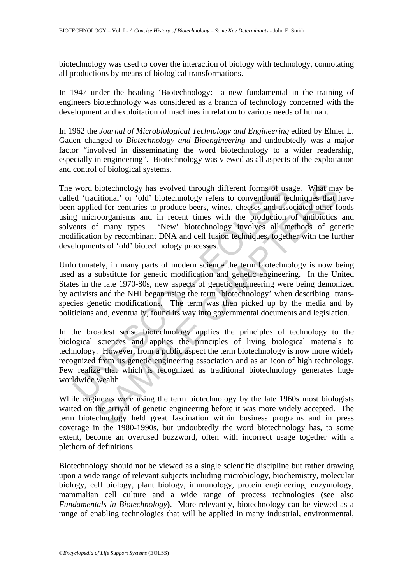biotechnology was used to cover the interaction of biology with technology, connotating all productions by means of biological transformations.

In 1947 under the heading 'Biotechnology: a new fundamental in the training of engineers biotechnology was considered as a branch of technology concerned with the development and exploitation of machines in relation to various needs of human.

In 1962 the *Journal of Microbiological Technology and Engineering* edited by Elmer L. Gaden changed to *Biotechnology and Bioengineering* and undoubtedly was a major factor "involved in disseminating the word biotechnology to a wider readership, especially in engineering". Biotechnology was viewed as all aspects of the exploitation and control of biological systems.

word biotechnology has evolved through different forms of usad 'traditional' or 'old' biotechnology refers to conventional ted a paplied for centuries to produce beers, wines, cheeses and asseg microorganisms and in recent biotechnology has evolved through different forms of usage. What matitional' or 'old' biotechnology refers to conventional techniques that different for centuries to produce beers, wines, cheeses and associated other for c The word biotechnology has evolved through different forms of usage. What may be called 'traditional' or 'old' biotechnology refers to conventional techniques that have been applied for centuries to produce beers, wines, cheeses and associated other foods using microorganisms and in recent times with the production of antibiotics and solvents of many types. 'New' biotechnology involves all methods of genetic modification by recombinant DNA and cell fusion techniques, together with the further developments of 'old' biotechnology processes.

Unfortunately, in many parts of modern science the term biotechnology is now being used as a substitute for genetic modification and genetic engineering. In the United States in the late 1970-80s, new aspects of genetic engineering were being demonized by activists and the NHI began using the term 'biotechnology' when describing transspecies genetic modifications. The term was then picked up by the media and by politicians and, eventually, found its way into governmental documents and legislation.

In the broadest sense biotechnology applies the principles of technology to the biological sciences and applies the principles of living biological materials to technology. However, from a public aspect the term biotechnology is now more widely recognized from its genetic engineering association and as an icon of high technology. Few realize that which is recognized as traditional biotechnology generates huge worldwide wealth.

While engineers were using the term biotechnology by the late 1960s most biologists waited on the arrival of genetic engineering before it was more widely accepted. The term biotechnology held great fascination within business programs and in press coverage in the 1980-1990s, but undoubtedly the word biotechnology has, to some extent, become an overused buzzword, often with incorrect usage together with a plethora of definitions.

Biotechnology should not be viewed as a single scientific discipline but rather drawing upon a wide range of relevant subjects including microbiology, biochemistry, molecular biology, cell biology, plant biology, immunology, protein engineering, enzymology, mammalian cell culture and a wide range of process technologies **(**see also *Fundamentals in Biotechnology***)**. More relevantly, biotechnology can be viewed as a range of enabling technologies that will be applied in many industrial, environmental,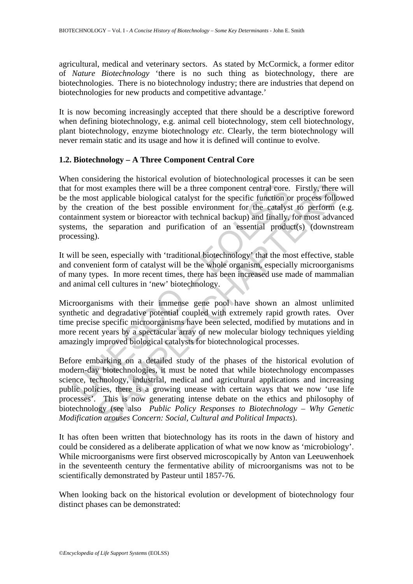agricultural, medical and veterinary sectors. As stated by McCormick, a former editor of *Nature Biotechnology* 'there is no such thing as biotechnology, there are biotechnologies. There is no biotechnology industry; there are industries that depend on biotechnologies for new products and competitive advantage.'

It is now becoming increasingly accepted that there should be a descriptive foreword when defining biotechnology, e.g. animal cell biotechnology, stem cell biotechnology, plant biotechnology, enzyme biotechnology *etc*. Clearly, the term biotechnology will never remain static and its usage and how it is defined will continue to evolve.

# **1.2. Biotechnology – A Three Component Central Core**

for most examples there will be a three component central core.<br>
the most applicable biological catalyst for the specific function of<br>
the creation of the best possible environment for the catalys<br>
iainment system or biore When considering the historical evolution of biotechnological processes it can be seen that for most examples there will be a three component central core. Firstly, there will be the most applicable biological catalyst for the specific function or process followed by the creation of the best possible environment for the catalyst to perform (e.g. containment system or bioreactor with technical backup) and finally, for most advanced systems, the separation and purification of an essential product(s) (downstream processing).

It will be seen, especially with 'traditional biotechnology' that the most effective, stable and convenient form of catalyst will be the whole organism, especially microorganisms of many types. In more recent times, there has been increased use made of mammalian and animal cell cultures in 'new' biotechnology.

Microorganisms with their immense gene pool have shown an almost unlimited synthetic and degradative potential coupled with extremely rapid growth rates. Over time precise specific microorganisms have been selected, modified by mutations and in more recent years by a spectacular array of new molecular biology techniques yielding amazingly improved biological catalysts for biotechnological processes.

Solution to the best posside matrix and agricultural core. Firstly, there the applicable biological catalyst for the specific function or process follo at the best possible environment for the catalyst to perform at tapli Before embarking on a detailed study of the phases of the historical evolution of modern-day biotechnologies, it must be noted that while biotechnology encompasses science, technology, industrial, medical and agricultural applications and increasing public policies, there is a growing unease with certain ways that we now 'use life processes'. This is now generating intense debate on the ethics and philosophy of biotechnology (see also *Public Policy Responses to Biotechnology* – *Why Genetic Modification arouses Concern: Social, Cultural and Political Impacts*).

It has often been written that biotechnology has its roots in the dawn of history and could be considered as a deliberate application of what we now know as 'microbiology'. While microorganisms were first observed microscopically by Anton van Leeuwenhoek in the seventeenth century the fermentative ability of microorganisms was not to be scientifically demonstrated by Pasteur until 1857-76.

When looking back on the historical evolution or development of biotechnology four distinct phases can be demonstrated: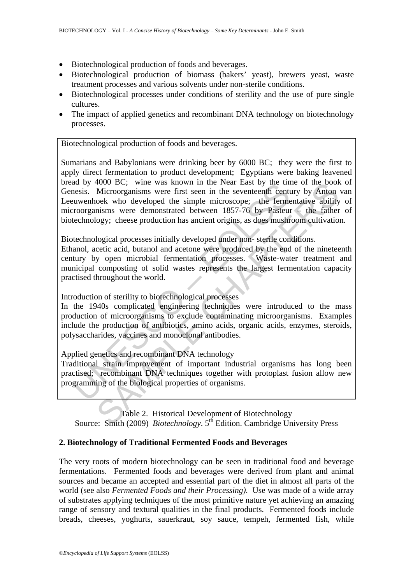- Biotechnological production of foods and beverages.
- Biotechnological production of biomass (bakers' yeast), brewers yeast, waste treatment processes and various solvents under non-sterile conditions.
- Biotechnological processes under conditions of sterility and the use of pure single cultures.
- The impact of applied genetics and recombinant DNA technology on biotechnology processes.

Biotechnological production of foods and beverages.

and by 4000 BC, will was shown in the read East by the time<br>enesis. Microorganisms were first seen in the several ecentric entruventhock who developed the simple microscope; the ferme<br>roorganisms were demonstrated between 4000 BC; whe was known in the levelr east by the tme of theorem<br>Microorganisms were first seen in the seventeenth century by Anton<br>ock who developed the simple microscope; the fermentative ability<br>insins were demonstrated Sumarians and Babylonians were drinking beer by 6000 BC; they were the first to apply direct fermentation to product development; Egyptians were baking leavened bread by 4000 BC; wine was known in the Near East by the time of the book of Genesis. Microorganisms were first seen in the seventeenth century by Anton van Leeuwenhoek who developed the simple microscope; the fermentative ability of microorganisms were demonstrated between 1857-76 by Pasteur – the father of biotechnology; cheese production has ancient origins, as does mushroom cultivation.

Biotechnological processes initially developed under non- sterile conditions.

Ethanol, acetic acid, butanol and acetone were produced by the end of the nineteenth century by open microbial fermentation processes. Waste-water treatment and municipal composting of solid wastes represents the largest fermentation capacity practised throughout the world.

Introduction of sterility to biotechnological processes

In the 1940s complicated engineering techniques were introduced to the mass production of microorganisms to exclude contaminating microorganisms. Examples include the production of antibiotics, amino acids, organic acids, enzymes, steroids, polysaccharides, vaccines and monoclonal antibodies.

Applied genetics and recombinant DNA technology

Traditional strain improvement of important industrial organisms has long been practised; recombinant DNA techniques together with protoplast fusion allow new programming of the biological properties of organisms.

Table 2. Historical Development of Biotechnology Source: Smith (2009) *Biotechnology*. 5<sup>th</sup> Edition. Cambridge University Press

### **2. Biotechnology of Traditional Fermented Foods and Beverages**

The very roots of modern biotechnology can be seen in traditional food and beverage fermentations. Fermented foods and beverages were derived from plant and animal sources and became an accepted and essential part of the diet in almost all parts of the world (see also *Fermented Foods and their Processing)*. Use was made of a wide array of substrates applying techniques of the most primitive nature yet achieving an amazing range of sensory and textural qualities in the final products. Fermented foods include breads, cheeses, yoghurts, sauerkraut, soy sauce, tempeh, fermented fish, while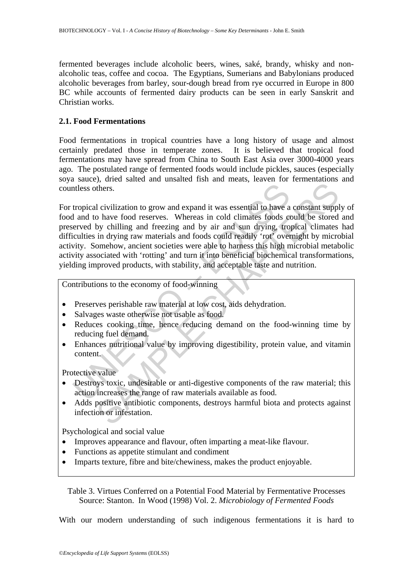fermented beverages include alcoholic beers, wines, saké, brandy, whisky and nonalcoholic teas, coffee and cocoa. The Egyptians, Sumerians and Babylonians produced alcoholic beverages from barley, sour-dough bread from rye occurred in Europe in 800 BC while accounts of fermented dairy products can be seen in early Sanskrit and Christian works.

# **2.1. Food Fermentations**

Food fermentations in tropical countries have a long history of usage and almost certainly predated those in temperate zones. It is believed that tropical food fermentations may have spread from China to South East Asia over 3000-4000 years ago. The postulated range of fermented foods would include pickles, sauces (especially soya sauce), dried salted and unsalted fish and meats, leaven for fermentations and countless others.

ntless others.<br>
tropical civilization to grow and expand it was essential to have a<br>
1 and to have food reserves. Whereas in cold climates foods co<br>
ereved by chilling and freezing and by air and sun drying, tro<br>
ciculties Then the transmission of expansion and any material to have a constant supplometics.<br>
I civilization to grow and expand it was essential to have a constant supplomethers.<br>
In drying raw materials and foods could readily 'r For tropical civilization to grow and expand it was essential to have a constant supply of food and to have food reserves. Whereas in cold climates foods could be stored and preserved by chilling and freezing and by air and sun drying, tropical climates had difficulties in drying raw materials and foods could readily 'rot' overnight by microbial activity. Somehow, ancient societies were able to harness this high microbial metabolic activity associated with 'rotting' and turn it into beneficial biochemical transformations, yielding improved products, with stability, and acceptable taste and nutrition.

Contributions to the economy of food-winning

- Preserves perishable raw material at low cost, aids dehydration.
- Salvages waste otherwise not usable as food.
- Reduces cooking time, hence reducing demand on the food-winning time by reducing fuel demand.
- Enhances nutritional value by improving digestibility, protein value, and vitamin content.

Protective value

- Destroys toxic, undesirable or anti-digestive components of the raw material; this action increases the range of raw materials available as food.
- Adds positive antibiotic components, destroys harmful biota and protects against infection or infestation.

Psychological and social value

- Improves appearance and flavour, often imparting a meat-like flavour.
- Functions as appetite stimulant and condiment
- Imparts texture, fibre and bite/chewiness, makes the product enjoyable.

Table 3. Virtues Conferred on a Potential Food Material by Fermentative Processes Source: Stanton. In Wood (1998) Vol. 2. *Microbiology of Fermented Foods*

With our modern understanding of such indigenous fermentations it is hard to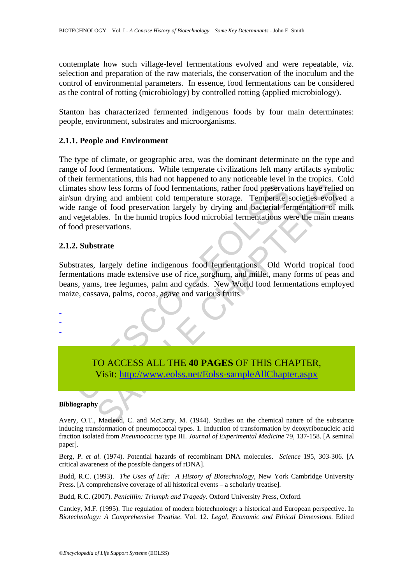contemplate how such village-level fermentations evolved and were repeatable, *viz*. selection and preparation of the raw materials, the conservation of the inoculum and the control of environmental parameters. In essence, food fermentations can be considered as the control of rotting (microbiology) by controlled rotting (applied microbiology).

Stanton has characterized fermented indigenous foods by four main determinates: people, environment, substrates and microorganisms.

### **2.1.1. People and Environment**

The states show less forms of food fermentations, rather food preservation drying and ambient cold temperature storage. Temperate expectables. In the humid tropics food microbial fermentations were vergetables. In the humi now less forms of food fermentations, rather food preservations have relies<br>ing and ambient cold temperature storage. Temperate societies evolve<br>les of food preservation largely by drying and bacterial fermentation of to<br>b The type of climate, or geographic area, was the dominant determinate on the type and range of food fermentations. While temperate civilizations left many artifacts symbolic of their fermentations, this had not happened to any noticeable level in the tropics. Cold climates show less forms of food fermentations, rather food preservations have relied on air/sun drying and ambient cold temperature storage. Temperate societies evolved a wide range of food preservation largely by drying and bacterial fermentation of milk and vegetables. In the humid tropics food microbial fermentations were the main means of food preservations.

#### **2.1.2. Substrate**

Substrates, largely define indigenous food fermentations. Old World tropical food fermentations made extensive use of rice, sorghum, and millet, many forms of peas and beans, yams, tree legumes, palm and cycads. New World food fermentations employed maize, cassava, palms, cocoa, agave and various fruits.

> TO ACCESS ALL THE **40 PAGES** OF THIS CHAPTER, Visit: http://www.eolss.net/Eolss-sampleAllChapter.aspx

#### **Bibliography**

- - -

Avery, O.T., Macleod, C. and McCarty, M. (1944). Studies on the chemical nature of the substance inducing transformation of pneumococcal types. 1. Induction of transformation by deoxyribonucleic acid fraction isolated from *Pneumococcus* type III. *Journal of Experimental Medicine* 79, 137-158. [A seminal paper].

Berg, P. *et al*. (1974). Potential hazards of recombinant DNA molecules. *Science* 195, 303-306. [A critical awareness of the possible dangers of rDNA].

Budd, R.C. (1993). *The Uses of Life: A History of Biotechnology*, New York Cambridge University Press. [A comprehensive coverage of all historical events – a scholarly treatise].

Budd, R.C. (2007). *Penicillin: Triumph and Tragedy.* Oxford University Press, Oxford.

Cantley, M.F. (1995). The regulation of modern biotechnology: a historical and European perspective. In *Biotechnology: A Comprehensive Treatise*. Vol. 12. *Legal, Economic and Ethical Dimensions*. Edited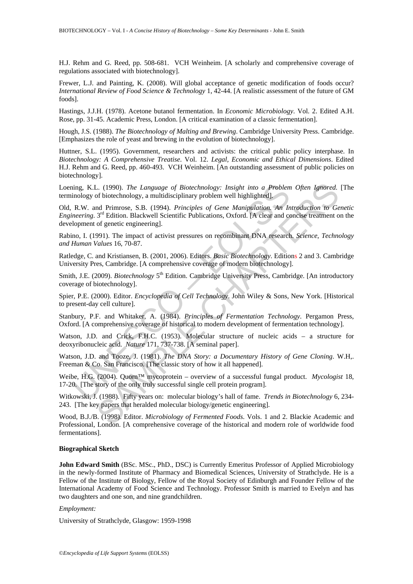H.J. Rehm and G. Reed, pp. 508-681. VCH Weinheim. [A scholarly and comprehensive coverage of regulations associated with biotechnology].

Frewer, L.J. and Painting, K. (2008). Will global acceptance of genetic modification of foods occur? *International Review of Food Science & Technology* 1, 42-44. [A realistic assessment of the future of GM foods].

Hastings, J.J.H. (1978). Acetone butanol fermentation. In *Economic Microbiology*. Vol. 2. Edited A.H. Rose, pp. 31-45. Academic Press, London. [A critical examination of a classic fermentation].

Hough, J.S. (1988). *The Biotechnology of Malting and Brewing*. Cambridge University Press. Cambridge. [Emphasizes the role of yeast and brewing in the evolution of biotechnology].

Huttner, S.L. (1995). Government, researchers and activists: the critical public policy interphase. In *Biotechnology: A Comprehensive Treatise*. Vol. 12. *Legal, Economic and Ethical Dimensions*. Edited H.J. Rehm and G. Reed, pp. 460-493. VCH Weinheim. [An outstanding assessment of public policies on biotechnology].

Loening, K.L. (1990). *The Language of Biotechnology: Insight into a Problem Often Ignored.* [The terminology of biotechnology, a multidisciplinary problem well highlighted].

ning, K.L. (1990). The Language of Biotechnology: Insight into a Problem<br>inology of biotechnology, a multidisciplinary problem well highlighted].<br>R.W. and Primrose, S.B. (1994). Principles of Gene Manipulation. An In-<br>nee L. (1990). The Language of Biotechnology: Insight into a Problem Often Ignored.<br>
of biotechnology, a multidisciplinary problem well highlighted].<br>
and Primcose, S.B. (1994). Principles of Gene Maringhation. An Introductio Old, R.W. and Primrose, S.B. (1994). *Principles of Gene Manipulation. An Introduction to Genetic Engineering*. 3<sup>rd</sup> Edition. Blackwell Scientific Publications, Oxford. [A clear and concise treatment on the development of genetic engineering].

Rabino, I. (1991). The impact of activist pressures on recombinant DNA research. *Science*, *Technology and Human Values* 16, 70-87.

Ratledge, C. and Kristiansen, B. (2001, 2006). Editors. *Basic Biotechnology*. Editions 2 and 3. Cambridge University Pres, Cambridge. [A comprehensive coverage of modern biotechnology].

Smith, J.E. (2009). *Biotechnology* 5<sup>th</sup> Edition. Cambridge University Press, Cambridge. [An introductory coverage of biotechnology].

Spier, P.E. (2000). Editor. *Encyclopedia of Cell Technology*. John Wiley & Sons, New York. [Historical to present-day cell culture].

Stanbury, P.F. and Whitaker, A. (1984). *Principles of Fermentation Technology*. Pergamon Press, Oxford. [A comprehensive coverage of historical to modern development of fermentation technology].

Watson, J.D. and Crick, F.H.C. (1953). Molecular structure of nucleic acids – a structure for deoxyribonucleic acid. *Nature* 171, 737-738. [A seminal paper].

Watson, J.D. and Tooze, J. (1981). *The DNA Story: a Documentary History of Gene Cloning*. W.H,. Freeman & Co. San Francisco. [The classic story of how it all happened].

Weibe, H.G. (2004). Quorn™ mycoprotein – overview of a successful fungal product. *Mycologist* 18, 17-20. [The story of the only truly successful single cell protein program].

Witkowski, J. (1988). Fifty years on: molecular biology's hall of fame. *Trends in Biotechnology* 6, 234- 243. [The key papers that heralded molecular biology/genetic engineering].

Wood, B.J./B. (1998). Editor. *Microbiology of Fermented Foods*. Vols. 1 and 2. Blackie Academic and Professional, London. [A comprehensive coverage of the historical and modern role of worldwide food fermentations].

#### **Biographical Sketch**

**John Edward Smith** (BSc. MSc., PhD., DSC) is Currently Emeritus Professor of Applied Microbiology in the newly-formed Institute of Pharmacy and Biomedical Sciences, University of Strathclyde. He is a Fellow of the Institute of Biology, Fellow of the Royal Society of Edinburgh and Founder Fellow of the International Academy of Food Science and Technology. Professor Smith is married to Evelyn and has two daughters and one son, and nine grandchildren.

#### *Employment:*

University of Strathclyde, Glasgow: 1959-1998